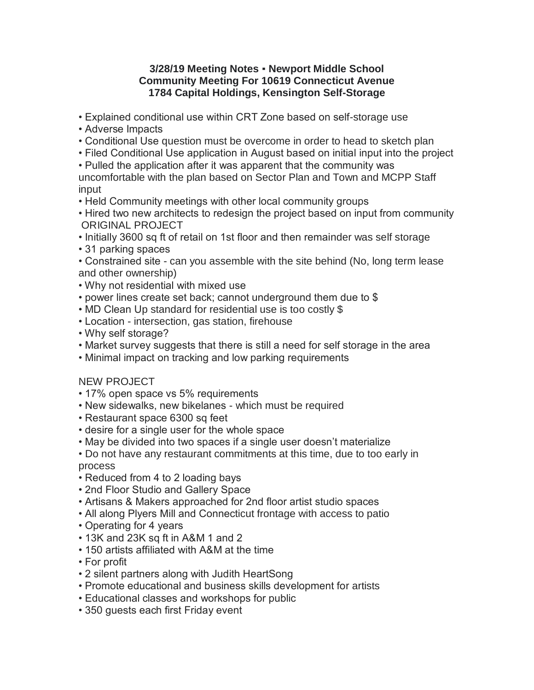## **3/28/19 Meeting Notes Newport Middle School Community Meeting For 10619 Connecticut Avenue 1784 Capital Holdings, Kensington Self-Storage**

• Explained conditional use within CRT Zone based on self-storage use

- Adverse Impacts
- Conditional Use question must be overcome in order to head to sketch plan
- Filed Conditional Use application in August based on initial input into the project

• Pulled the application after it was apparent that the community was

- uncomfortable with the plan based on Sector Plan and Town and MCPP Staff input
- Held Community meetings with other local community groups
- Hired two new architects to redesign the project based on input from community ORIGINAL PROJECT
- Initially 3600 sq ft of retail on 1st floor and then remainder was self storage
- 31 parking spaces
- Constrained site can you assemble with the site behind (No, long term lease and other ownership)
- Why not residential with mixed use
- power lines create set back; cannot underground them due to \$
- MD Clean Up standard for residential use is too costly \$
- Location intersection, gas station, firehouse
- Why self storage?
- Market survey suggests that there is still a need for self storage in the area
- Minimal impact on tracking and low parking requirements

## NEW PROJECT

- 17% open space vs 5% requirements
- New sidewalks, new bikelanes which must be required
- Restaurant space 6300 sq feet
- desire for a single user for the whole space
- May be divided into two spaces if a single user doesn't materialize

• Do not have any restaurant commitments at this time, due to too early in process

- Reduced from 4 to 2 loading bays
- 2nd Floor Studio and Gallery Space
- Artisans & Makers approached for 2nd floor artist studio spaces
- All along Plyers Mill and Connecticut frontage with access to patio
- Operating for 4 years
- 13K and 23K sq ft in A&M 1 and 2
- 150 artists affiliated with A&M at the time
- For profit
- 2 silent partners along with Judith HeartSong
- Promote educational and business skills development for artists
- Educational classes and workshops for public
- 350 guests each first Friday event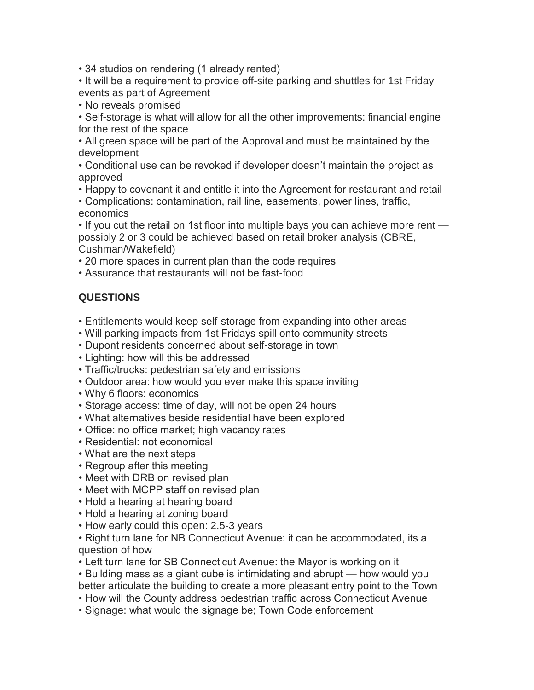• 34 studios on rendering (1 already rented)

• It will be a requirement to provide off-site parking and shuttles for 1st Friday events as part of Agreement

• No reveals promised

• Self-storage is what will allow for all the other improvements: financial engine for the rest of the space

• All green space will be part of the Approval and must be maintained by the development

• Conditional use can be revoked if developer doesn't maintain the project as approved

• Happy to covenant it and entitle it into the Agreement for restaurant and retail

• Complications: contamination, rail line, easements, power lines, traffic, economics

• If you cut the retail on 1st floor into multiple bays you can achieve more rent possibly 2 or 3 could be achieved based on retail broker analysis (CBRE, Cushman/Wakefield)

• 20 more spaces in current plan than the code requires

• Assurance that restaurants will not be fast-food

## **QUESTIONS**

- Entitlements would keep self-storage from expanding into other areas
- Will parking impacts from 1st Fridays spill onto community streets
- Dupont residents concerned about self-storage in town
- Lighting: how will this be addressed
- Traffic/trucks: pedestrian safety and emissions
- Outdoor area: how would you ever make this space inviting
- Why 6 floors: economics
- Storage access: time of day, will not be open 24 hours
- What alternatives beside residential have been explored
- Office: no office market; high vacancy rates
- Residential: not economical
- What are the next steps
- Regroup after this meeting
- Meet with DRB on revised plan
- Meet with MCPP staff on revised plan
- Hold a hearing at hearing board
- Hold a hearing at zoning board
- How early could this open: 2.5-3 years

• Right turn lane for NB Connecticut Avenue: it can be accommodated, its a question of how

• Left turn lane for SB Connecticut Avenue: the Mayor is working on it

• Building mass as a giant cube is intimidating and abrupt — how would you better articulate the building to create a more pleasant entry point to the Town

• How will the County address pedestrian traffic across Connecticut Avenue

• Signage: what would the signage be; Town Code enforcement